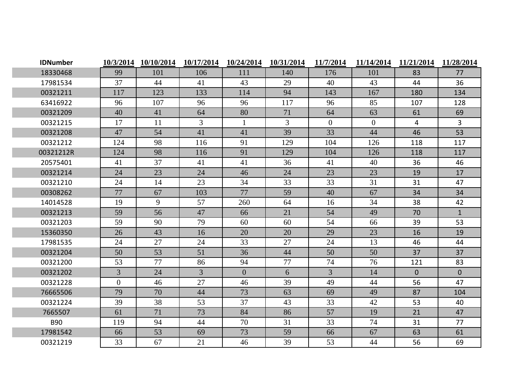| <b>IDNumber</b> |                | 10/3/2014 10/10/2014 | 10/17/2014     | 10/24/2014     | 10/31/2014 | 11/7/2014      | 11/14/2014     | 11/21/2014     | 11/28/2014     |
|-----------------|----------------|----------------------|----------------|----------------|------------|----------------|----------------|----------------|----------------|
| 18330468        | 99             | 101                  | 106            | 111            | 140        | 176            | 101            | 83             | 77             |
| 17981534        | 37             | 44                   | 41             | 43             | 29         | 40             | 43             | 44             | 36             |
| 00321211        | 117            | 123                  | 133            | 114            | 94         | 143            | 167            | 180            | 134            |
| 63416922        | 96             | 107                  | 96             | 96             | 117        | 96             | 85             | 107            | 128            |
| 00321209        | 40             | 41                   | 64             | 80             | 71         | 64             | 63             | 61             | 69             |
| 00321215        | 17             | 11                   | 3              | $\mathbf{1}$   | 3          | $\overline{0}$ | $\overline{0}$ | $\overline{4}$ | $\overline{3}$ |
| 00321208        | 47             | 54                   | 41             | 41             | 39         | 33             | 44             | 46             | 53             |
| 00321212        | 124            | 98                   | 116            | 91             | 129        | 104            | 126            | 118            | 117            |
| 00321212R       | 124            | 98                   | 116            | 91             | 129        | 104            | 126            | 118            | 117            |
| 20575401        | 41             | 37                   | 41             | 41             | 36         | 41             | 40             | 36             | 46             |
| 00321214        | 24             | 23                   | 24             | 46             | 24         | 23             | 23             | 19             | 17             |
| 00321210        | 24             | 14                   | 23             | 34             | 33         | 33             | 31             | 31             | 47             |
| 00308262        | 77             | 67                   | 103            | 77             | 59         | 40             | 67             | 34             | 34             |
| 14014528        | 19             | 9                    | 57             | 260            | 64         | 16             | 34             | 38             | 42             |
| 00321213        | 59             | 56                   | 47             | 66             | 21         | 54             | 49             | 70             | $\mathbf{1}$   |
| 00321203        | 59             | 90                   | 79             | 60             | 60         | 54             | 66             | 39             | 53             |
| 15360350        | 26             | 43                   | 16             | 20             | 20         | 29             | 23             | 16             | 19             |
| 17981535        | 24             | 27                   | 24             | 33             | 27         | 24             | 13             | 46             | 44             |
| 00321204        | 50             | 53                   | 51             | 36             | 44         | 50             | 50             | 37             | 37             |
| 00321200        | 53             | 77                   | 86             | 94             | 77         | 74             | 76             | 121            | 83             |
| 00321202        | $\overline{3}$ | 24                   | $\overline{3}$ | $\overline{0}$ | 6          | $\overline{3}$ | 14             | $\overline{0}$ | $\overline{0}$ |
| 00321228        | $\overline{0}$ | 46                   | 27             | 46             | 39         | 49             | 44             | 56             | 47             |
| 76665506        | 79             | 70                   | 44             | 73             | 63         | 69             | 49             | 87             | 104            |
| 00321224        | 39             | 38                   | 53             | 37             | 43         | 33             | 42             | 53             | 40             |
| 7665507         | 61             | 71                   | 73             | 84             | 86         | 57             | 19             | 21             | 47             |
| <b>B90</b>      | 119            | 94                   | 44             | 70             | 31         | 33             | 74             | 31             | 77             |
| 17981542        | 66             | 53                   | 69             | 73             | 59         | 66             | 67             | 63             | 61             |
| 00321219        | 33             | 67                   | 21             | 46             | 39         | 53             | 44             | 56             | 69             |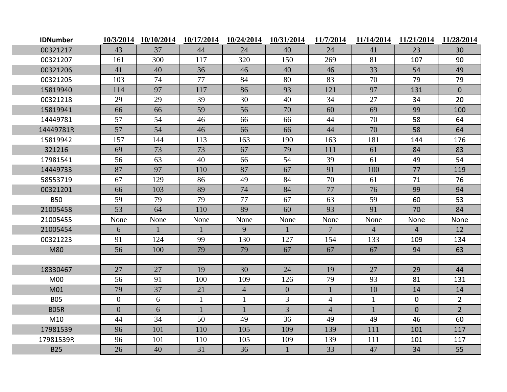| <b>IDNumber</b> |                | 10/3/2014 10/10/2014 | 10/17/2014   | 10/24/2014     | 10/31/2014     | 11/7/2014       | 11/14/2014     | 11/21/2014     | 11/28/2014     |
|-----------------|----------------|----------------------|--------------|----------------|----------------|-----------------|----------------|----------------|----------------|
| 00321217        | 43             | 37                   | 44           | 24             | 40             | 24              | 41             | 23             | 30             |
| 00321207        | 161            | 300                  | 117          | 320            | 150            | 269             | 81             | 107            | 90             |
| 00321206        | 41             | 40                   | 36           | 46             | 40             | 46              | 33             | 54             | 49             |
| 00321205        | 103            | 74                   | 77           | 84             | 80             | 83              | 70             | 79             | 79             |
| 15819940        | 114            | 97                   | 117          | 86             | 93             | 121             | 97             | 131            | $\overline{0}$ |
| 00321218        | 29             | 29                   | 39           | 30             | 40             | 34              | 27             | 34             | 20             |
| 15819941        | 66             | 66                   | 59           | 56             | 70             | 60              | 69             | 99             | 100            |
| 14449781        | 57             | 54                   | 46           | 66             | 66             | 44              | 70             | 58             | 64             |
| 14449781R       | 57             | 54                   | 46           | 66             | 66             | 44              | 70             | 58             | 64             |
| 15819942        | 157            | 144                  | 113          | 163            | 190            | 163             | 181            | 144            | 176            |
| 321216          | 69             | 73                   | 73           | 67             | 79             | 111             | 61             | 84             | 83             |
| 17981541        | 56             | 63                   | 40           | 66             | 54             | 39              | 61             | 49             | 54             |
| 14449733        | 87             | 97                   | 110          | 87             | 67             | 91              | 100            | 77             | 119            |
| 58553719        | 67             | 129                  | 86           | 49             | 84             | 70              | 61             | 71             | 76             |
| 00321201        | 66             | 103                  | 89           | 74             | 84             | 77              | 76             | 99             | 94             |
| <b>B50</b>      | 59             | 79                   | 79           | 77             | 67             | 63              | 59             | 60             | 53             |
| 21005458        | 53             | 64                   | 110          | 89             | 60             | 93              | 91             | 70             | 84             |
| 21005455        | None           | None                 | None         | None           | None           | None            | None           | None           | None           |
| 21005454        | 6              | $\mathbf{1}$         | $\mathbf{1}$ | 9              |                | $7\phantom{.0}$ | $\overline{4}$ | $\overline{4}$ | 12             |
| 00321223        | 91             | 124                  | 99           | 130            | 127            | 154             | 133            | 109            | 134            |
| M80             | 56             | 100                  | 79           | 79             | 67             | 67              | 67             | 94             | 63             |
|                 |                |                      |              |                |                |                 |                |                |                |
| 18330467        | 27             | 27                   | 19           | 30             | 24             | 19              | 27             | 29             | 44             |
| M <sub>00</sub> | 56             | 91                   | 100          | 109            | 126            | 79              | 93             | 81             | 131            |
| M01             | 79             | 37                   | 21           | $\overline{4}$ | $\overline{0}$ | $\mathbf{1}$    | 10             | 14             | 14             |
| <b>B05</b>      | $\overline{0}$ | 6                    | $\mathbf{1}$ | $\mathbf{1}$   | $\overline{3}$ | $\overline{4}$  | $\mathbf{1}$   | $\mathbf 0$    | $2^{\circ}$    |
| <b>B05R</b>     | $\overline{0}$ | 6                    | $\mathbf{1}$ |                | $\overline{3}$ | $\overline{4}$  |                | $\overline{0}$ | $2^{\circ}$    |
| M10             | 44             | 34                   | 50           | 49             | 36             | 49              | 49             | 46             | 60             |
| 17981539        | 96             | 101                  | 110          | 105            | 109            | 139             | 111            | 101            | 117            |
| 17981539R       | 96             | 101                  | 110          | 105            | 109            | 139             | 111            | 101            | 117            |
| <b>B25</b>      | 26             | 40                   | 31           | 36             | $\mathbf{1}$   | 33              | 47             | 34             | 55             |